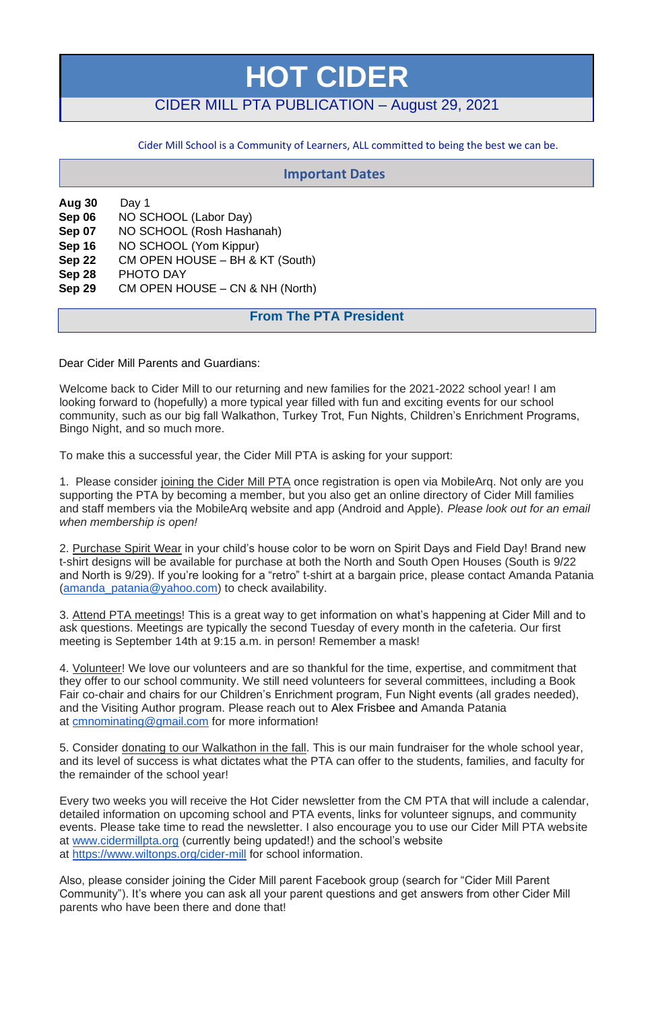# **HOT CIDER**

## CIDER MILL PTA PUBLICATION – August 29, 2021

Cider Mill School is a Community of Learners, ALL committed to being the best we can be.

**Aug 30** Day 1 **Sep 06** NO SCHOOL (Labor Day) **Sep 07** NO SCHOOL (Rosh Hashanah) **Sep 16** NO SCHOOL (Yom Kippur) **Sep 22** CM OPEN HOUSE – BH & KT (South) **Sep 28** PHOTO DAY **Sep 29** CM OPEN HOUSE – CN & NH (North)

## **From The PTA President**

Dear Cider Mill Parents and Guardians:

Welcome back to Cider Mill to our returning and new families for the 2021-2022 school year! I am looking forward to (hopefully) a more typical year filled with fun and exciting events for our school community, such as our big fall Walkathon, Turkey Trot, Fun Nights, Children's Enrichment Programs, Bingo Night, and so much more.

To make this a successful year, the Cider Mill PTA is asking for your support:

1. Please consider joining the Cider Mill PTA once registration is open via MobileArq. Not only are you supporting the PTA by becoming a member, but you also get an online directory of Cider Mill families and staff members via the MobileArq website and app (Android and Apple). *Please look out for an email when membership is open!*

2. Purchase Spirit Wear in your child's house color to be worn on Spirit Days and Field Day! Brand new t-shirt designs will be available for purchase at both the North and South Open Houses (South is 9/22 and North is 9/29). If you're looking for a "retro" t-shirt at a bargain price, please contact Amanda Patania [\(amanda\\_patania@yahoo.com\)](mailto:amanda_patania@yahoo.com) to check availability.

3. Attend PTA meetings! This is a great way to get information on what's happening at Cider Mill and to ask questions. Meetings are typically the second Tuesday of every month in the cafeteria. Our first meeting is September 14th at 9:15 a.m. in person! Remember a mask!

4. Volunteer! We love our volunteers and are so thankful for the time, expertise, and commitment that they offer to our school community. We still need volunteers for several committees, including a Book Fair co-chair and chairs for our Children's Enrichment program, Fun Night events (all grades needed), and the Visiting Author program. Please reach out to Alex Frisbee and Amanda Patania at [cmnominating@gmail.com](mailto:cmnominating@gmail.com) for more information!

5. Consider donating to our Walkathon in the fall. This is our main fundraiser for the whole school year, and its level of success is what dictates what the PTA can offer to the students, families, and faculty for the remainder of the school year!

Every two weeks you will receive the Hot Cider newsletter from the CM PTA that will include a calendar, detailed information on upcoming school and PTA events, links for volunteer signups, and community events. Please take time to read the newsletter. I also encourage you to use our Cider Mill PTA website at [www.cidermillpta.org](http://www.cidermillpta.org/) (currently being updated!) and the school's website

at <https://www.wiltonps.org/cider-mill> for school information.

Also, please consider joining the Cider Mill parent Facebook group (search for "Cider Mill Parent Community"). It's where you can ask all your parent questions and get answers from other Cider Mill parents who have been there and done that!

## **Important Dates**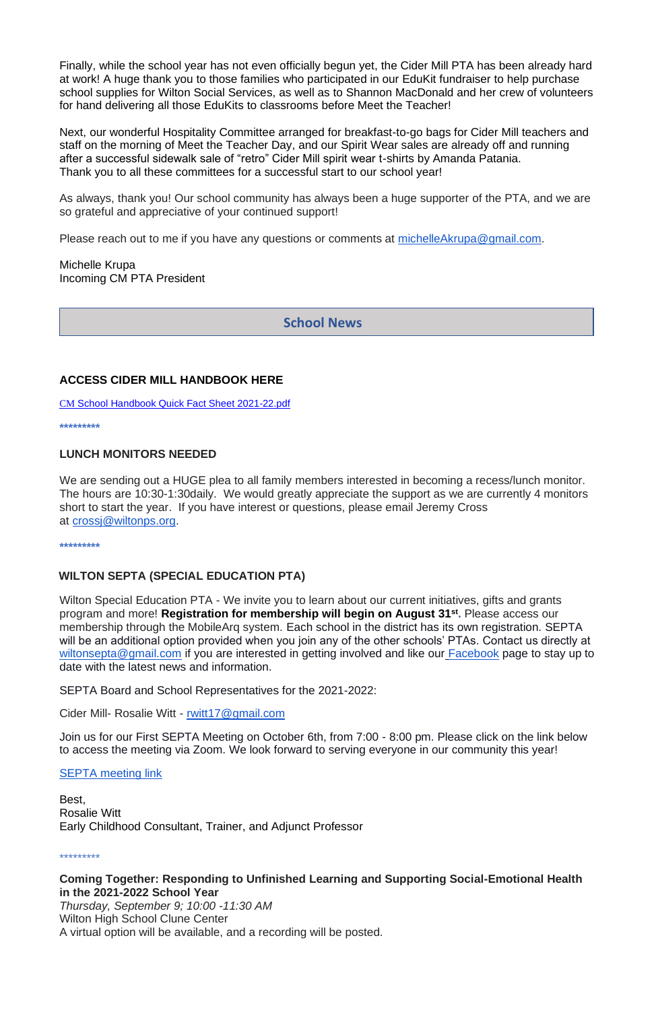Finally, while the school year has not even officially begun yet, the Cider Mill PTA has been already hard at work! A huge thank you to those families who participated in our EduKit fundraiser to help purchase school supplies for Wilton Social Services, as well as to Shannon MacDonald and her crew of volunteers for hand delivering all those EduKits to classrooms before Meet the Teacher!

Next, our wonderful Hospitality Committee arranged for breakfast-to-go bags for Cider Mill teachers and staff on the morning of Meet the Teacher Day, and our Spirit Wear sales are already off and running after a successful sidewalk sale of "retro" Cider Mill spirit wear t-shirts by Amanda Patania. Thank you to all these committees for a successful start to our school year!

As always, thank you! Our school community has always been a huge supporter of the PTA, and we are so grateful and appreciative of your continued support!

Please reach out to me if you have any questions or comments at [michelleAkrupa@gmail.com.](mailto:michelleAkrupa@gmail.com)

Michelle Krupa Incoming CM PTA President

Wilton Special Education PTA - We invite you to learn about our current initiatives, gifts and grants program and more! **Registration for membership will begin on August 31st .** Please access our membership through the MobileArq system. Each school in the district has its own registration. SEPTA will be an additional option provided when you join any of the other schools' PTAs. Contact us directly at [wiltonsepta@gmail.com](mailto:wiltonsepta@gmail.com) if you are interested in getting involved and like our [Facebook](https://www.facebook.com/WiltonSEPTA) page to stay up to date with the latest news and information.

#### **ACCESS CIDER MILL HANDBOOK HERE**

CM [School Handbook Quick](https://docs.google.com/document/d/1uX29u-6tAl3dTjMJzg-ml2r_-HcWdwR7bOrL3x_wudM/edit) Fact Sheet 2021[-22.pdf](https://docs.google.com/document/d/1uX29u-6tAl3dTjMJzg-ml2r_-HcWdwR7bOrL3x_wudM/edit)

**\*\*\*\*\*\*\*\*\***

#### **LUNCH MONITORS NEEDED**

We are sending out a HUGE plea to all family members interested in becoming a recess/lunch monitor. The hours are 10:30-1:30daily. We would greatly appreciate the support as we are currently 4 monitors short to start the year. If you have interest or questions, please email Jeremy Cross at [crossj@wiltonps.org.](mailto:crossj@wiltonps.org)

**\*\*\*\*\*\*\*\*\***

#### **WILTON SEPTA (SPECIAL EDUCATION PTA)**

SEPTA Board and School Representatives for the 2021-2022:

Cider Mill- Rosalie Witt - rwitt17@gmail.com

Join us for our First SEPTA Meeting on October 6th, from 7:00 - 8:00 pm. Please click on the link below

to access the meeting via Zoom. We look forward to serving everyone in our community this year!

[SEPTA meeting link](https://wiltonps.zoom.us/j/98430368300?pwd=VDg2T1dvUm0zTkNpVE5lYUJHVUc2dz09)

Best, Rosalie Witt Early Childhood Consultant, Trainer, and Adjunct Professor

\*\*\*\*\*\*\*\*\*

#### **Coming Together: Responding to Unfinished Learning and Supporting Social-Emotional Health in the 2021-2022 School Year**

*Thursday, September 9; 10:00 -11:30 AM* Wilton High School Clune Center A virtual option will be available, and a recording will be posted.

## **School News**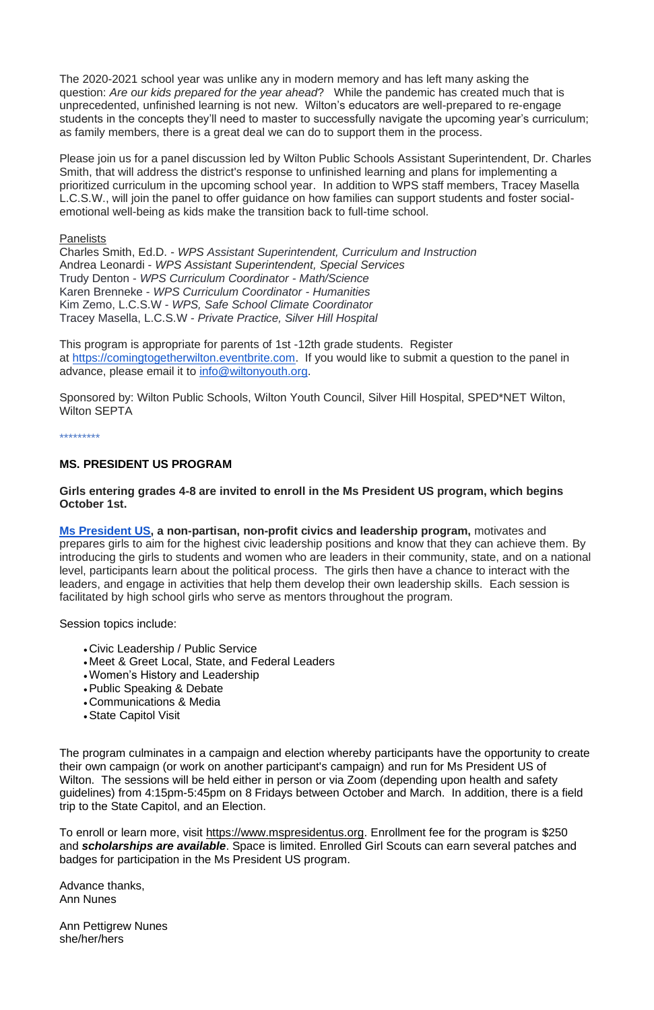The 2020-2021 school year was unlike any in modern memory and has left many asking the question: *Are our kids prepared for the year ahead*? While the pandemic has created much that is unprecedented, unfinished learning is not new. Wilton's educators are well-prepared to re-engage students in the concepts they'll need to master to successfully navigate the upcoming year's curriculum; as family members, there is a great deal we can do to support them in the process.

Please join us for a panel discussion led by Wilton Public Schools Assistant Superintendent, Dr. Charles Smith, that will address the district's response to unfinished learning and plans for implementing a prioritized curriculum in the upcoming school year. In addition to WPS staff members, Tracey Masella L.C.S.W., will join the panel to offer guidance on how families can support students and foster socialemotional well-being as kids make the transition back to full-time school.

#### Panelists

Charles Smith, Ed.D. - *WPS Assistant Superintendent, Curriculum and Instruction* Andrea Leonardi - *WPS Assistant Superintendent, Special Services* Trudy Denton - *WPS Curriculum Coordinator - Math/Science* Karen Brenneke - *WPS Curriculum Coordinator - Humanities* Kim Zemo, L.C.S.W - *WPS, Safe School Climate Coordinator* Tracey Masella, L.C.S.W *- Private Practice, Silver Hill Hospital*

This program is appropriate for parents of 1st -12th grade students. Register at [https://comingtogetherwilton.eventbrite.com.](https://comingtogetherwilton.eventbrite.com/) If you would like to submit a question to the panel in advance, please email it to [info@wiltonyouth.org.](mailto:info@wiltonyouth.org)

Sponsored by: Wilton Public Schools, Wilton Youth Council, Silver Hill Hospital, SPED\*NET Wilton, Wilton SEPTA

#### \*\*\*\*\*\*\*\*\*

#### **MS. PRESIDENT US PROGRAM**

#### **Girls entering grades 4-8 are invited to enroll in the Ms President US program, which begins October 1st.**

**[Ms President US,](https://www.mspresidentus.org/) a non-partisan, non-profit civics and leadership program,** motivates and prepares girls to aim for the highest civic leadership positions and know that they can achieve them. By introducing the girls to students and women who are leaders in their community, state, and on a national level, participants learn about the political process. The girls then have a chance to interact with the leaders, and engage in activities that help them develop their own leadership skills. Each session is facilitated by high school girls who serve as mentors throughout the program.

#### Session topics include:

- Civic Leadership / Public Service
- Meet & Greet Local, State, and Federal Leaders
- •Women's History and Leadership
- •Public Speaking & Debate
- Communications & Media
- •State Capitol Visit

The program culminates in a campaign and election whereby participants have the opportunity to create their own campaign (or work on another participant's campaign) and run for Ms President US of Wilton. The sessions will be held either in person or via Zoom (depending upon health and safety guidelines) from 4:15pm-5:45pm on 8 Fridays between October and March. In addition, there is a field trip to the State Capitol, and an Election.

To enroll or learn more, visit [https://www.mspresidentus.org.](https://mspresidentus.org/) Enrollment fee for the program is \$250 and *scholarships are available*. Space is limited. Enrolled Girl Scouts can earn several patches and badges for participation in the Ms President US program.

Advance thanks, Ann Nunes

Ann Pettigrew Nunes she/her/hers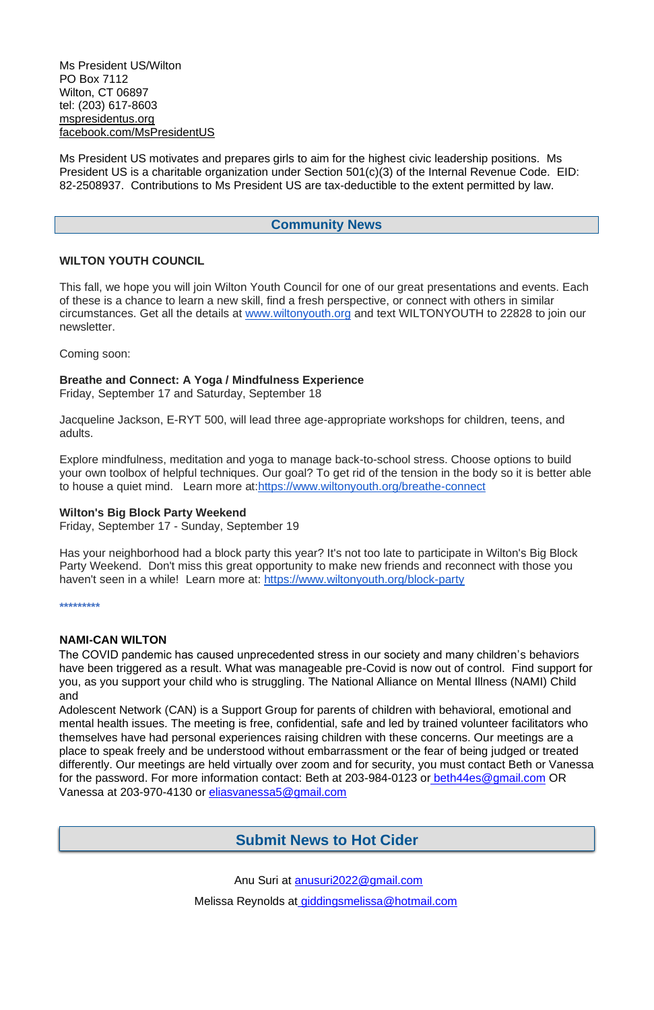Ms President US/Wilton PO Box 7112 Wilton, CT 06897 tel: (203) 617-8603 [mspresidentus.org](https://mspresidentus.org/) [facebook.com/MsPresidentUS](https://www.facebook.com/MsPresidentUS/?ref=bookmarks)

Ms President US motivates and prepares girls to aim for the highest civic leadership positions. Ms President US is a charitable organization under Section 501(c)(3) of the Internal Revenue Code. EID: 82-2508937. Contributions to Ms President US are tax-deductible to the extent permitted by law.

#### **Community News**

#### **WILTON YOUTH COUNCIL**

This fall, we hope you will join Wilton Youth Council for one of our great presentations and events. Each of these is a chance to learn a new skill, find a fresh perspective, or connect with others in similar circumstances. Get all the details at [www.wiltonyouth.org](http://www.wiltonyouth.org/) and text WILTONYOUTH to 22828 to join our newsletter.

Has your neighborhood had a block party this year? It's not too late to participate in Wilton's Big Block Party Weekend. Don't miss this great opportunity to make new friends and reconnect with those you haven't seen in a while! Learn more at: <https://www.wiltonyouth.org/block-party>

Coming soon:

#### **Breathe and Connect: A Yoga / Mindfulness Experience**

Friday, September 17 and Saturday, September 18

Jacqueline Jackson, E-RYT 500, will lead three age-appropriate workshops for children, teens, and adults.

Explore mindfulness, meditation and yoga to manage back-to-school stress. Choose options to build your own toolbox of helpful techniques. Our goal? To get rid of the tension in the body so it is better able to house a quiet mind. Learn more at[:https://www.wiltonyouth.org/breathe-connect](https://www.wiltonyouth.org/breathe-connect)

#### **Wilton's Big Block Party Weekend**

Friday, September 17 - Sunday, September 19

**\*\*\*\*\*\*\*\*\***

#### **NAMI-CAN WILTON**

The COVID pandemic has caused unprecedented stress in our society and many children's behaviors have been triggered as a result. What was manageable pre-Covid is now out of control. Find support for you, as you support your child who is struggling. The National Alliance on Mental Illness (NAMI) Child and

Adolescent Network (CAN) is a Support Group for parents of children with behavioral, emotional and mental health issues. The meeting is free, confidential, safe and led by trained volunteer facilitators who themselves have had personal experiences raising children with these concerns. Our meetings are a place to speak freely and be understood without embarrassment or the fear of being judged or treated differently. Our meetings are held virtually over zoom and for security, you must contact Beth or Vanessa for the password. For more information contact: Beth at 203-984-0123 or beth44es@gmail.com OR Vanessa at 203-970-4130 or eliasvanessa5@gmail.com

## **Submit News to Hot Cider**

Anu Suri at anusuri2022@gmail.com

Melissa Reynolds at giddingsmelissa@hotmail.com